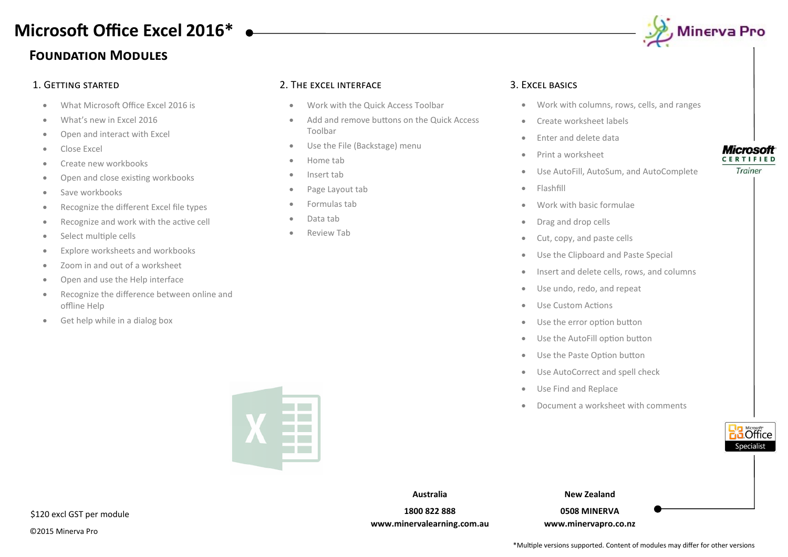## **Foundation Modules Microsoft Office Excel 2016\***

- What Microsoft Office Excel 2016 is
- What's new in Excel 2016
- Open and interact with Excel
- Close Excel
- Create new workbooks
- Open and close existing workbooks
- Save workbooks
- Recognize the different Excel file types
- Recognize and work with the active cell
- Select multiple cells
- Explore worksheets and workbooks
- Zoom in and out of a worksheet
- Open and use the Help interface
- Recognize the difference between online and offline Help
- Get help while in a dialog box

### 1. Getting started 2. The excel interface 3. Excel basics

- Work with the Quick Access Toolbar
- Add and remove buttons on the Quick Access Toolbar
- Use the File (Backstage) menu
- Home tab
- Insert tab
- Page Layout tab
- Formulas tab
- Data tab
- Review Tab



- Work with columns, rows, cells, and ranges
- Create worksheet labels
- Enter and delete data
- Print a worksheet
- Use AutoFill, AutoSum, and AutoComplete
- Flashfill
- Work with basic formulae
- Drag and drop cells
- Cut, copy, and paste cells
- Use the Clipboard and Paste Special
- Insert and delete cells, rows, and columns
- Use undo, redo, and repeat
- Use Custom Actions
- Use the error option button
- Use the AutoFill option button
- Use the Paste Option button
- Use AutoCorrect and spell check
- Use Find and Replace
- Document a worksheet with comments





**Australia 1800 822 888 www.minervalearning.com.au** **New Zealand**

**0508 MINERVA www.minervapro.co.nz**

### **Microsoft** CERTIFIED

Trainer

\*Multiple versions supported. Content of modules may differ for other versions



©2015 Minerva Pro



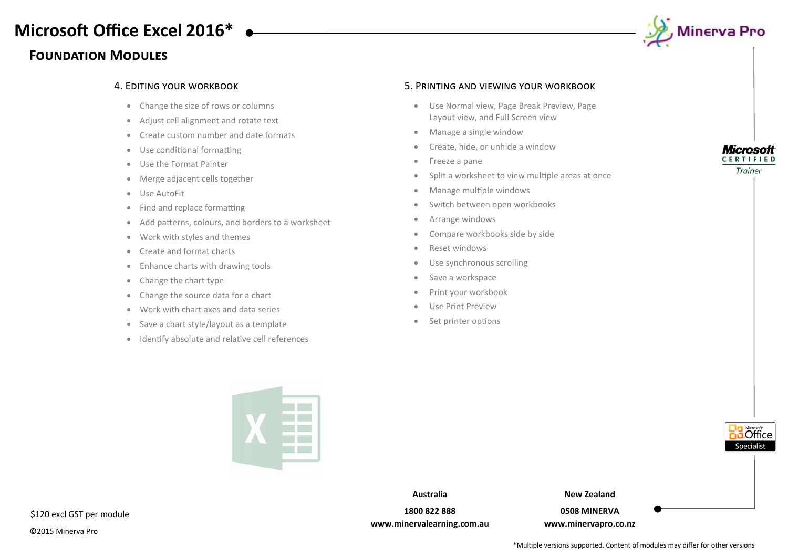### **Foundation Modules**



- Change the size of rows or columns
- Adjust cell alignment and rotate text
- Create custom number and date formats
- Use conditional formatting
- Use the Format Painter
- Merge adjacent cells together
- Use AutoFit
- Find and replace formatting
- Add patterns, colours, and borders to a worksheet
- Work with styles and themes
- Create and format charts
- Enhance charts with drawing tools
- Change the chart type
- Change the source data for a chart
- Work with chart axes and data series
- Save a chart style/layout as a template
- Identify absolute and relative cell references

### 4. Editing your workbook 5. Printing and viewing your workbook

- Use Normal view, Page Break Preview, Page Layout view, and Full Screen view
- Manage a single window
- Create, hide, or unhide a window
- Freeze a pane
- Split a worksheet to view multiple areas at once
- Manage multiple windows
- Switch between open workbooks
- Arrange windows
- Compare workbooks side by side
- Reset windows
- Use synchronous scrolling
- Save a workspace
- Print your workbook
- Use Print Preview
- Set printer options



Trainer

**5** Office necialist



\$120 excl GST per module

©2015 Minerva Pro

**Australia**

**1800 822 888 www.minervalearning.com.au** **New Zealand**

**0508 MINERVA www.minervapro.co.nz**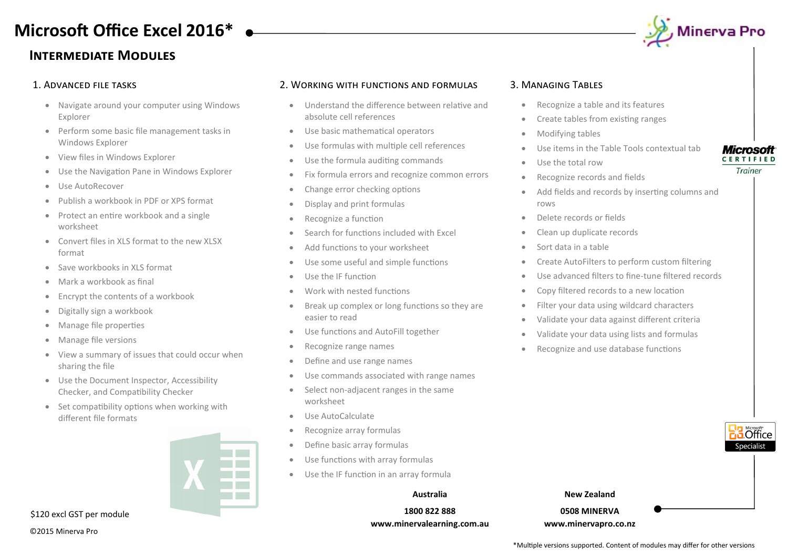### **Intermediate Modules**

# , Minerva Pro

- Navigate around your computer using Windows Explorer
- Perform some basic file management tasks in Windows Explorer
- View files in Windows Explorer
- Use the Navigation Pane in Windows Explorer
- Use AutoRecover
- Publish a workbook in PDF or XPS format
- Protect an entire workbook and a single worksheet
- Convert files in XLS format to the new XLSX format
- Save workbooks in XLS format
- Mark a workbook as final
- Encrypt the contents of a workbook
- Digitally sign a workbook
- Manage file properties
- Manage file versions
- View a summary of issues that could occur when sharing the file
- Use the Document Inspector, Accessibility Checker, and Compatibility Checker
- Set compatibility options when working with different file formats



\$120 excl GST per module

©2015 Minerva Pro

### 1. Advanced file tasks 2. Working with functions and formulas 3. Managing Tables

- Understand the difference between relative and absolute cell references
- Use basic mathematical operators
- Use formulas with multiple cell references
- Use the formula auditing commands
- Fix formula errors and recognize common errors
- Change error checking options
- Display and print formulas
- Recognize a function
- Search for functions included with Excel
- Add functions to your worksheet
- Use some useful and simple functions
- Use the IF function
- Work with nested functions
- Break up complex or long functions so they are easier to read
- Use functions and AutoFill together
- Recognize range names
- Define and use range names
- Use commands associated with range names
- Select non-adjacent ranges in the same worksheet
- Use AutoCalculate
- Recognize array formulas
- Define basic array formulas
- Use functions with array formulas
- Use the IF function in an array formula

#### **Australia**

**1800 822 888 www.minervalearning.com.au**

- Recognize a table and its features
- Create tables from existing ranges
- Modifying tables
- Use items in the Table Tools contextual tab
- Use the total row
- Recognize records and fields
- Add fields and records by inserting columns and rows
- Delete records or fields
- Clean up duplicate records
- Sort data in a table
- Create AutoFilters to perform custom filtering
- Use advanced filters to fine-tune filtered records
- Copy filtered records to a new location
- Filter your data using wildcard characters
- Validate your data against different criteria
- Validate your data using lists and formulas
- Recognize and use database functions



**Microsoft CERTIFIED** Trainer

**New Zealand**

**0508 MINERVA www.minervapro.co.nz**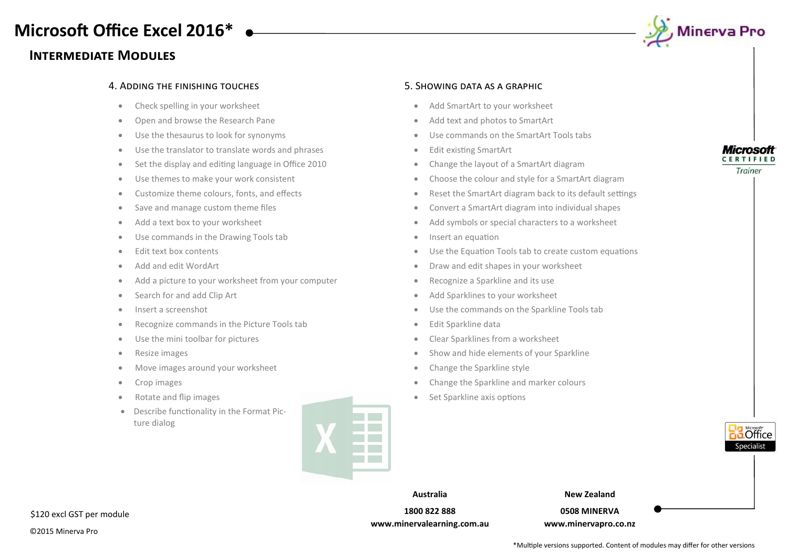## **Intermediate Modules**



#### 4. Adding the finishing touches 5. Showing data as a graphic

- Check spelling in your worksheet
- Open and browse the Research Pane
- Use the thesaurus to look for synonyms
- Use the translator to translate words and phrases
- Set the display and editing language in Office 2010
- Use themes to make your work consistent
- Customize theme colours, fonts, and effects
- Save and manage custom theme files
- Add a text box to your worksheet
- Use commands in the Drawing Tools tab
- Edit text box contents
- Add and edit WordArt
- Add a picture to your worksheet from your computer
- Search for and add Clip Art
- Insert a screenshot
- Recognize commands in the Picture Tools tab
- Use the mini toolbar for pictures
- Resize images
- Move images around your worksheet
- Crop images
- Rotate and flip images
- Describe functionality in the Format Picture dialog



- Add SmartArt to your worksheet
- Add text and photos to SmartArt
- Use commands on the SmartArt Tools tabs
- Edit existing SmartArt
- Change the layout of a SmartArt diagram
- Choose the colour and style for a SmartArt diagram
- Reset the SmartArt diagram back to its default settings
- Convert a SmartArt diagram into individual shapes
- Add symbols or special characters to a worksheet
- Insert an equation
- Use the Equation Tools tab to create custom equations
- Draw and edit shapes in your worksheet
- Recognize a Sparkline and its use
- Add Sparklines to your worksheet
- Use the commands on the Sparkline Tools tab
- Edit Sparkline data
- Clear Sparklines from a worksheet
- Show and hide elements of your Sparkline
- Change the Sparkline style
- Change the Sparkline and marker colours
- Set Sparkline axis options



**Australia 1800 822 888**

**www.minervalearning.com.au**

**New Zealand**

**0508 MINERVA www.minervapro.co.nz**

\$120 excl GST per module

©2015 Minerva Pro

\*Multiple versions supported. Content of modules may differ for other versions

#### **Microsoft CERTIFIED**

Trainer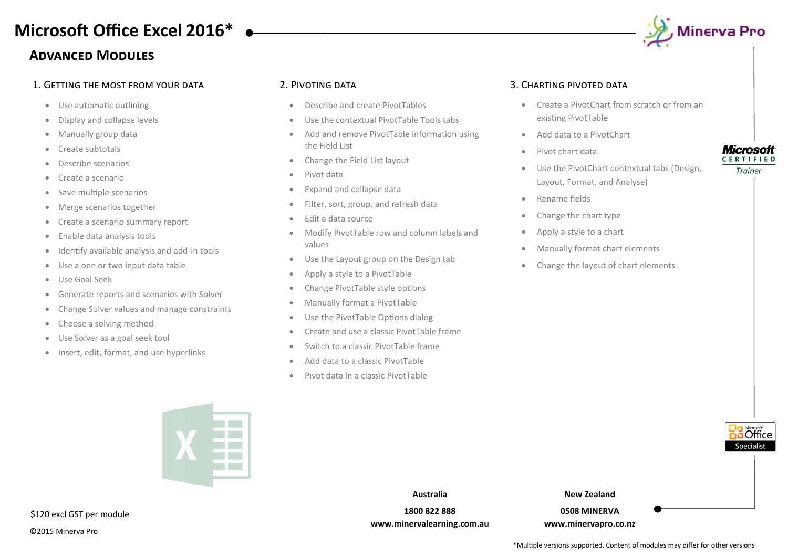## **Advanced Modules**

### 1. Getting the most from your data 2. Pivoting data 3. Charting pivoted data

- Use automatic outlining
- Display and collapse levels
- Manually group data
- Create subtotals
- Describe scenarios
- Create a scenario
- Save multiple scenarios
- Merge scenarios together
- Create a scenario summary report
- Enable data analysis tools
- Identify available analysis and add-in tools
- Use a one or two input data table
- Use Goal Seek
- Generate reports and scenarios with Solver
- Change Solver values and manage constraints
- Choose a solving method
- Use Solver as a goal seek tool
- Insert, edit, format, and use hyperlinks

- Describe and create PivotTables
- Use the contextual PivotTable Tools tabs
- Add and remove PivotTable information using the Field List
- Change the Field List layout
- Pivot data
- Expand and collapse data
- Filter, sort, group, and refresh data
- Edit a data source
- Modify PivotTable row and column labels and values
- Use the Layout group on the Design tab
- Apply a style to a PivotTable
- Change PivotTable style options
- Manually format a PivotTable
- Use the PivotTable Options dialog
- Create and use a classic PivotTable frame
- Switch to a classic PivotTable frame
- Add data to a classic PivotTable
- Pivot data in a classic PivotTable



- Create a PivotChart from scratch or from an existing PivotTable
- Add data to a PivotChart
- Pivot chart data
- Use the PivotChart contextual tabs (Design, Layout, Format, and Analyse)
- Rename fields
- Change the chart type
- Apply a style to a chart
- Manually format chart elements
- Change the layout of chart elements

### **Microsoft CERTIFIED**

Trainer





\$120 excl GST per module

©2015 Minerva Pro

**Australia 1800 822 888**

**www.minervalearning.com.au**

**New Zealand 0508 MINERVA**

**www.minervapro.co.nz**